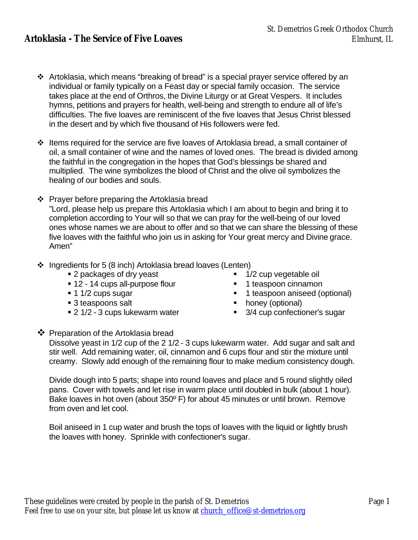- $\cdot$  Artoklasia, which means "breaking of bread" is a special prayer service offered by an individual or family typically on a Feast day or special family occasion. The service takes place at the end of Orthros, the Divine Liturgy or at Great Vespers. It includes hymns, petitions and prayers for health, well-being and strength to endure all of life's difficulties. The five loaves are reminiscent of the five loaves that Jesus Christ blessed in the desert and by which five thousand of His followers were fed.
- v Items required for the service are five loaves of Artoklasia bread, a small container of oil, a small container of wine and the names of loved ones. The bread is divided among the faithful in the congregation in the hopes that God's blessings be shared and multiplied. The wine symbolizes the blood of Christ and the olive oil symbolizes the healing of our bodies and souls.
- $\div$  Prayer before preparing the Artoklasia bread "Lord, please help us prepare this Artoklasia which I am about to begin and bring it to completion according to Your will so that we can pray for the well-being of our loved ones whose names we are about to offer and so that we can share the blessing of these five loaves with the faithful who join us in asking for Your great mercy and Divine grace. Amen"
- $\div$  Ingredients for 5 (8 inch) Artoklasia bread loaves (Lenten)
	- 2 packages of dry yeast 1/2 cup vegetable oil
	- 12 14 cups all-purpose flour 1 teaspoon cinnamon
	-
	-
	- 2 1/2 3 cups lukewarm water 3/4 cup confectioner's sugar
- 
- - 1 1/2 cups sugar Sugar **■** 1 teaspoon aniseed (optional)
	- 3 teaspoons salt **■** honey (optional)
		-

## $\clubsuit$  Preparation of the Artoklasia bread

Dissolve yeast in 1/2 cup of the 2 1/2 - 3 cups lukewarm water. Add sugar and salt and stir well. Add remaining water, oil, cinnamon and 6 cups flour and stir the mixture until creamy. Slowly add enough of the remaining flour to make medium consistency dough.

Divide dough into 5 parts; shape into round loaves and place and 5 round slightly oiled pans. Cover with towels and let rise in warm place until doubled in bulk (about 1 hour). Bake loaves in hot oven (about 350º F) for about 45 minutes or until brown. Remove from oven and let cool.

Boil aniseed in 1 cup water and brush the tops of loaves with the liquid or lightly brush the loaves with honey. Sprinkle with confectioner's sugar.